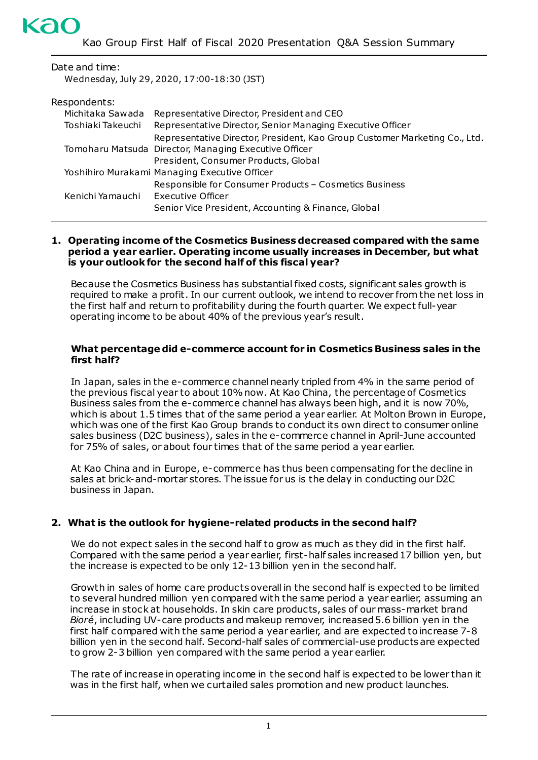#### Date and time:

Wednesday, July 29, 2020, 17:00-18:30 (JST)

| Michitaka Sawada  | Representative Director, President and CEO                                 |
|-------------------|----------------------------------------------------------------------------|
| Toshiaki Takeuchi | Representative Director, Senior Managing Executive Officer                 |
|                   | Representative Director, President, Kao Group Customer Marketing Co., Ltd. |
|                   | Tomoharu Matsuda Director, Managing Executive Officer                      |
|                   | President, Consumer Products, Global                                       |
|                   | Yoshihiro Murakami Managing Executive Officer                              |
|                   | Responsible for Consumer Products - Cosmetics Business                     |
| Kenichi Yamauchi  | <b>Executive Officer</b>                                                   |
|                   | Senior Vice President, Accounting & Finance, Global                        |

#### **1. Operating income of the Cosmetics Business decreased compared with the same period a year earlier. Operating income usually increases in December, but what is your outlook for the second half of this fiscal year?**

Because the Cosmetics Business has substantial fixed costs, significant sales growth is required to make a profit. In our current outlook, we intend to recover from the net loss in the first half and return to profitability during the fourth quarter. We expect full-year operating income to be about 40% of the previous year's result.

#### **What percentage did e-commerce account for in Cosmetics Business sales in the first half?**

In Japan, sales in the e-commerce channel nearly tripled from 4% in the same period of the previous fiscal year to about 10% now. At Kao China, the percentage of Cosmetics Business sales from the e-commerce channel has always been high, and it is now 70%, which is about 1.5 times that of the same period a year earlier. At Molton Brown in Europe, which was one of the first Kao Group brands to conduct its own direct to consumer online sales business (D2C business), sales in the e-commerce channel in April-June accounted for 75% of sales, or about four times that of the same period a year earlier.

At Kao China and in Europe, e-commerce has thus been compensating for the decline in sales at brick-and-mortar stores. The issue for us is the delay in conducting our D2C business in Japan.

## **2. What is the outlook for hygiene-related products in the second half?**

We do not expect sales in the second half to grow as much as they did in the first half. Compared with the same period a year earlier, first-half sales increased 17 billion yen, but the increase is expected to be only 12-13 billion yen in the second half.

Growth in sales of home care products overall in the second half is expected to be limited to several hundred million yen compared with the same period a year earlier, assuming an increase in stock at households. In skin care products, sales of our mass-market brand *Bioré*, including UV-care products and makeup remover, increased 5.6 billion yen in the first half compared with the same period a year earlier, and are expected to increase 7-8 billion yen in the second half. Second-half sales of commercial-use products are expected to grow 2-3 billion yen compared with the same period a year earlier.

The rate of increase in operating income in the second half is expected to be lower than it was in the first half, when we curtailed sales promotion and new product launches.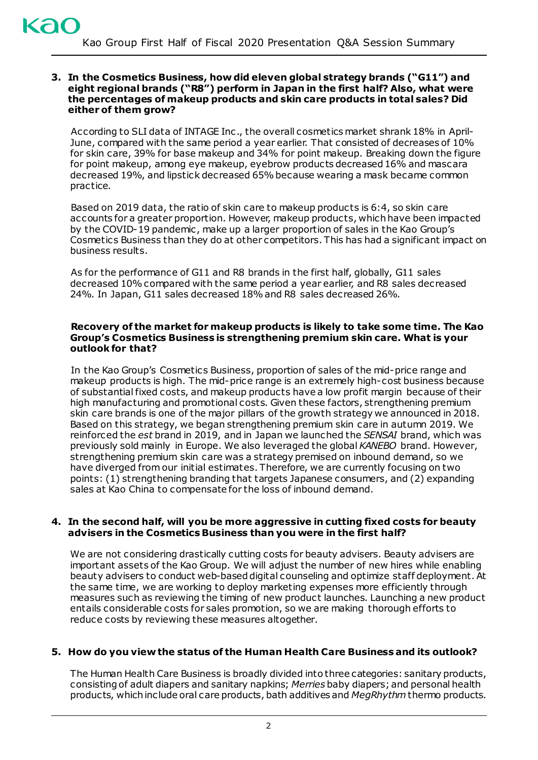#### **3. In the Cosmetics Business, how did eleven global strategy brands ("G11") and eight regional brands ("R8") perform in Japan in the first half? Also, what were the percentages of makeup products and skin care products in total sales? Did either of them grow?**

According to SLI data of INTAGE Inc ., the overall cosmetics market shrank 18% in April-June, compared with the same period a year earlier. That consisted of decreases of 10% for skin care, 39% for base makeup and 34% for point makeup. Breaking down the figure for point makeup, among eye makeup, eyebrow products decreased 16% and mascara decreased 19%, and lipstick decreased 65% because wearing a mask became common practice.

Based on 2019 data, the ratio of skin care to makeup products is 6:4, so skin care accounts for a greater proportion. However, makeup products, which have been impacted by the COVID-19 pandemic , make up a larger proportion of sales in the Kao Group's Cosmetics Business than they do at other competitors. This has had a significant impact on business results.

As for the performance of G11 and R8 brands in the first half, globally, G11 sales decreased 10% compared with the same period a year earlier, and R8 sales decreased 24%. In Japan, G11 sales decreased 18% and R8 sales decreased 26%.

## **Recovery of the market for makeup products is likely to take some time. The Kao Group's Cosmetics Business is strengthening premium skin care. What is your outlook for that?**

In the Kao Group's Cosmetics Business, proportion of sales of the mid-price range and makeup products is high. The mid-price range is an extremely high-cost business because of substantial fixed costs, and makeup products have a low profit margin because of their high manufacturing and promotional costs. Given these factors, strengthening premium skin care brands is one of the major pillars of the growth strategy we announced in 2018. Based on this strategy, we began strengthening premium skin care in autumn 2019. We reinforced the *est* brand in 2019, and in Japan we launched the *SENSAI* brand, which was previously sold mainly in Europe. We also leveraged the global *KANEBO* brand. However, strengthening premium skin care was a strategy premised on inbound demand, so we have diverged from our initial estimates. Therefore, we are currently focusing on two points: (1) strengthening branding that targets Japanese consumers, and (2) expanding sales at Kao China to compensate for the loss of inbound demand.

## **4. In the second half, will you be more aggressive in cutting fixed costs for beauty advisers in the Cosmetics Business than you were in the first half?**

We are not considering drastically cutting costs for beauty advisers. Beauty advisers are important assets of the Kao Group. We will adjust the number of new hires while enabling beauty advisers to conduct web-based digital counseling and optimize staff deployment. At the same time, we are working to deploy marketing expenses more efficiently through measures such as reviewing the timing of new product launches. Launching a new product entails considerable costs for sales promotion, so we are making thorough efforts to reduce costs by reviewing these measures altogether.

# **5. How do you view the status of the Human Health Care Business and its outlook?**

The Human Health Care Business is broadly divided into three categories: sanitary products, consisting of adult diapers and sanitary napkins; *Merries* baby diapers; and personal health products, which include oral care products, bath additives and *MegRhythm* thermo products.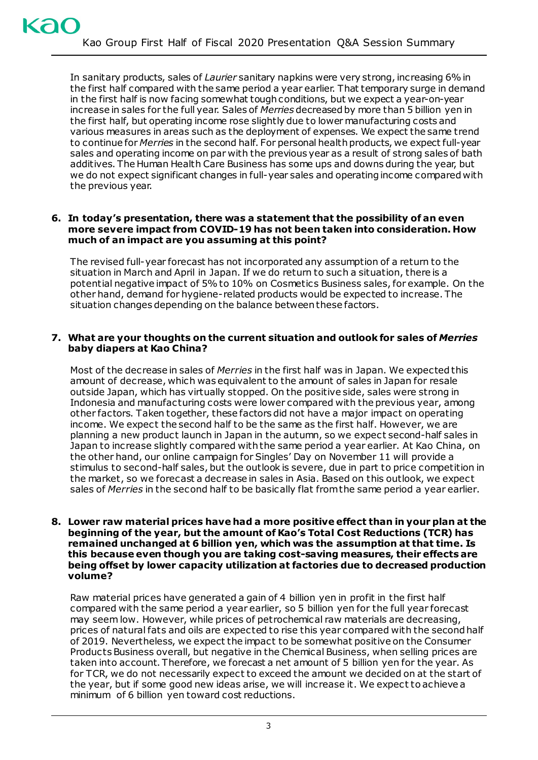In sanitary products, sales of *Laurier* sanitary napkins were very strong, increasing 6% in the first half compared with the same period a year earlier. That temporary surge in demand in the first half is now facing somewhat tough conditions, but we expect a year-on-year increase in sales for the full year. Sales of *Merries* decreased by more than 5 billion yen in the first half, but operating income rose slightly due to lower manufacturing costs and various measures in areas such as the deployment of expenses. We expect the same trend to continue for *Merries* in the second half. For personal health products, we expect full-year sales and operating income on par with the previous year as a result of strong sales of bath additives. The Human Health Care Business has some ups and downs during the year, but we do not expect significant changes in full-year sales and operating income compared with the previous year.

## **6. In today's presentation, there was a statement that the possibility of an even more severe impact from COVID-19 has not been taken into consideration. How much of an impact are you assuming at this point?**

The revised full-year forecast has not incorporated any assumption of a return to the situation in March and April in Japan. If we do return to such a situation, there is a potential negative impact of 5% to 10% on Cosmetics Business sales, for example. On the other hand, demand for hygiene-related products would be expected to increase. The situation changes depending on the balance between these factors.

## **7. What are your thoughts on the current situation and outlook for sales of** *Merries* **baby diapers at Kao China?**

Most of the decrease in sales of *Merries* in the first half was in Japan. We expected this amount of decrease, which was equivalent to the amount of sales in Japan for resale outside Japan, which has virtually stopped. On the positive side, sales were strong in Indonesia and manufacturing costs were lower compared with the previous year, among other factors. Taken together, these factors did not have a major impact on operating income. We expect the second half to be the same as the first half. However, we are planning a new product launch in Japan in the autumn, so we expect second-half sales in Japan to increase slightly compared with the same period a year earlier. At Kao China, on the other hand, our online campaign for Singles' Day on November 11 will provide a stimulus to second-half sales, but the outlook is severe, due in part to price competition in the market, so we forecast a decrease in sales in Asia. Based on this outlook, we expect sales of *Merries* in the second half to be basically flat from the same period a year earlier.

#### **8. Lower raw material prices have had a more positive effect than in your plan at the beginning of the year, but the amount of Kao's Total Cost Reductions (TCR) has remained unchanged at 6 billion yen, which was the assumption at that time. Is this because even though you are taking cost-saving measures, their effects are being offset by lower capacity utilization at factories due to decreased production volume?**

Raw material prices have generated a gain of 4 billion yen in profit in the first half compared with the same period a year earlier, so 5 billion yen for the full year forecast may seem low. However, while prices of petrochemical raw materials are decreasing, prices of natural fats and oils are expected to rise this year compared with the second half of 2019. Nevertheless, we expect the impact to be somewhat positive on the Consumer Products Business overall, but negative in the Chemical Business, when selling prices are taken into account. Therefore, we forecast a net amount of 5 billion yen for the year. As for TCR, we do not necessarily expect to exceed the amount we decided on at the start of the year, but if some good new ideas arise, we will increase it. We expect to achieve a minimum of 6 billion yen toward cost reductions.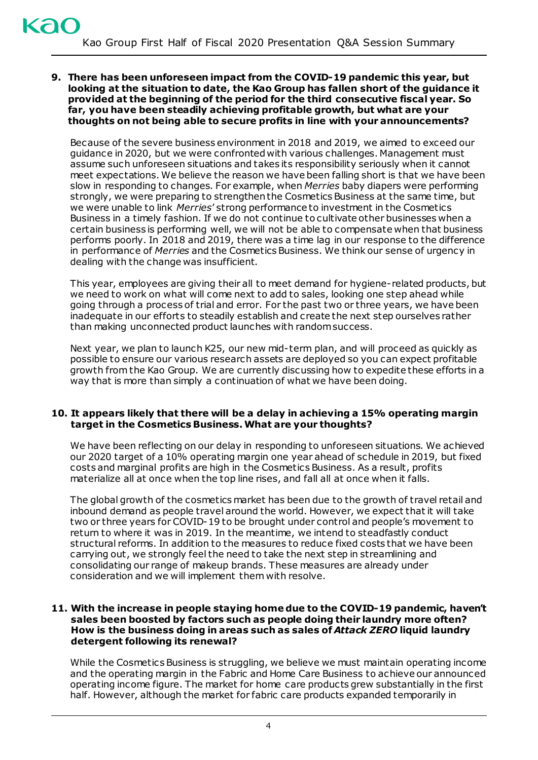**9. There has been unforeseen impact from the COVID-19 pandemic this year, but looking at the situation to date, the Kao Group has fallen short of the guidance it provided at the beginning of the period for the third consecutive fiscal year. So far, you have been steadily achieving profitable growth, but what are your thoughts on not being able to secure profits in line with your announcements?** 

Because of the severe business environment in 2018 and 2019, we aimed to exceed our guidance in 2020, but we were confronted with various challenges. Management must assume such unforeseen situations and takes its responsibility seriously when it cannot meet expectations. We believe the reason we have been falling short is that we have been slow in responding to changes. For example, when *Merries* baby diapers were performing strongly, we were preparing to strengthen the Cosmetics Business at the same time, but we were unable to link *Merries*' strong performance to investment in the Cosmetics Business in a timely fashion. If we do not continue to cultivate other businesses when a certain business is performing well, we will not be able to compensate when that business performs poorly. In 2018 and 2019, there was a time lag in our response to the difference in performance of *Merries* and the Cosmetics Business. We think our sense of urgency in dealing with the change was insufficient.

This year, employees are giving their all to meet demand for hygiene-related products, but we need to work on what will come next to add to sales, looking one step ahead while going through a process of trial and error. For the past two or three years, we have been inadequate in our efforts to steadily establish and create the next step ourselves rather than making unconnected product launches with random success.

Next year, we plan to launch K25, our new mid-term plan, and will proceed as quickly as possible to ensure our various research assets are deployed so you can expect profitable growth from the Kao Group. We are currently discussing how to expedite these efforts in a way that is more than simply a continuation of what we have been doing.

## **10. It appears likely that there will be a delay in achieving a 15% operating margin target in the Cosmetics Business. What are your thoughts?**

We have been reflecting on our delay in responding to unforeseen situations. We achieved our 2020 target of a 10% operating margin one year ahead of schedule in 2019, but fixed costs and marginal profits are high in the Cosmetics Business. As a result, profits materialize all at once when the top line rises, and fall all at once when it falls.

The global growth of the cosmetics market has been due to the growth of travel retail and inbound demand as people travel around the world. However, we expect that it will take two or three years for COVID-19 to be brought under control and people's movement to return to where it was in 2019. In the meantime, we intend to steadfastly conduct structural reforms. In addition to the measures to reduce fixed costs that we have been carrying out, we strongly feel the need to take the next step in streamlining and consolidating our range of makeup brands. These measures are already under consideration and we will implement them with resolve.

## **11. With the increase in people staying home due to the COVID-19 pandemic, haven't sales been boosted by factors such as people doing their laundry more often? How is the business doing in areas such as sales of** *Attack ZERO* **liquid laundry detergent following its renewal?**

While the Cosmetics Business is struggling, we believe we must maintain operating income and the operating margin in the Fabric and Home Care Business to achieve our announced operating income figure. The market for home care products grew substantially in the first half. However, although the market for fabric care products expanded temporarily in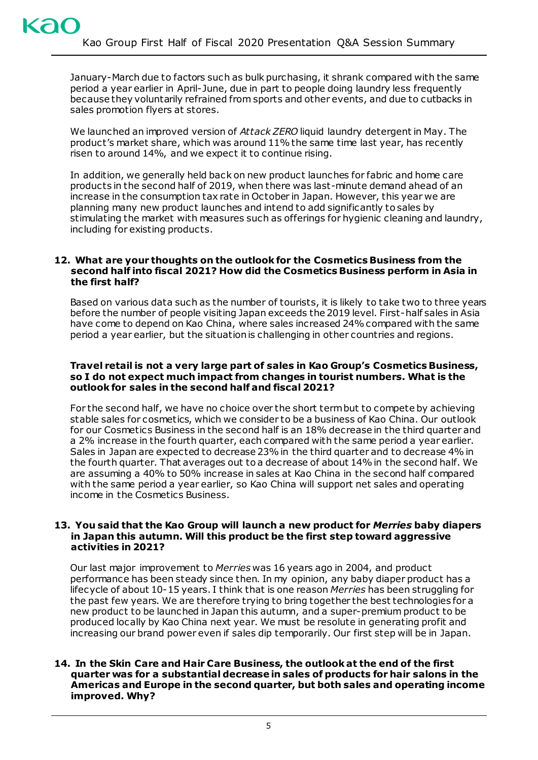January-March due to factors such as bulk purchasing, it shrank compared with the same period a year earlier in April-June, due in part to people doing laundry less frequently because they voluntarily refrained from sports and other events, and due to cutbacks in sales promotion flyers at stores.

We launched an improved version of *Attack ZERO* liquid laundry detergent in May. The product's market share, which was around 11% the same time last year, has recently risen to around 14%, and we expect it to continue rising.

In addition, we generally held back on new product launches for fabric and home care products in the second half of 2019, when there was last-minute demand ahead of an increase in the consumption tax rate in October in Japan. However, this year we are planning many new product launches and intend to add significantly to sales by stimulating the market with measures such as offerings for hygienic cleaning and laundry, including for existing products.

#### **12. What are your thoughts on the outlook for the Cosmetics Business from the second half into fiscal 2021? How did the Cosmetics Business perform in Asia in the first half?**

Based on various data such as the number of tourists, it is likely to take two to three years before the number of people visiting Japan exceeds the 2019 level. First-half sales in Asia have come to depend on Kao China, where sales increased 24% compared with the same period a year earlier, but the situation is challenging in other countries and regions.

## **Travel retail is not a very large part of sales in Kao Group's Cosmetics Business, so I do not expect much impact from changes in tourist numbers. What is the outlook for sales in the second half and fiscal 2021?**

For the second half, we have no choice over the short term but to compete by achieving stable sales for cosmetics, which we consider to be a business of Kao China. Our outlook for our Cosmetics Business in the second half is an 18% decrease in the third quarter and a 2% increase in the fourth quarter, each compared with the same period a year earlier. Sales in Japan are expected to decrease 23% in the third quarter and to decrease 4% in the fourth quarter. That averages out to a decrease of about 14% in the second half. We are assuming a 40% to 50% increase in sales at Kao China in the second half compared with the same period a year earlier, so Kao China will support net sales and operating income in the Cosmetics Business.

## **13. You said that the Kao Group will launch a new product for** *Merries* **baby diapers in Japan this autumn. Will this product be the first step toward aggressive activities in 2021?**

Our last major improvement to *Merries* was 16 years ago in 2004, and product performance has been steady since then. In my opinion, any baby diaper product has a lifecycle of about 10-15 years. I think that is one reason *Merries* has been struggling for the past few years. We are therefore trying to bring together the best technologies for a new product to be launched in Japan this autumn, and a super-premium product to be produced locally by Kao China next year. We must be resolute in generating profit and increasing our brand power even if sales dip temporarily. Our first step will be in Japan.

## **14. In the Skin Care and Hair Care Business, the outlook at the end of the first quarter was for a substantial decrease in sales of products for hair salons in the Americas and Europe in the second quarter, but both sales and operating income improved. Why?**